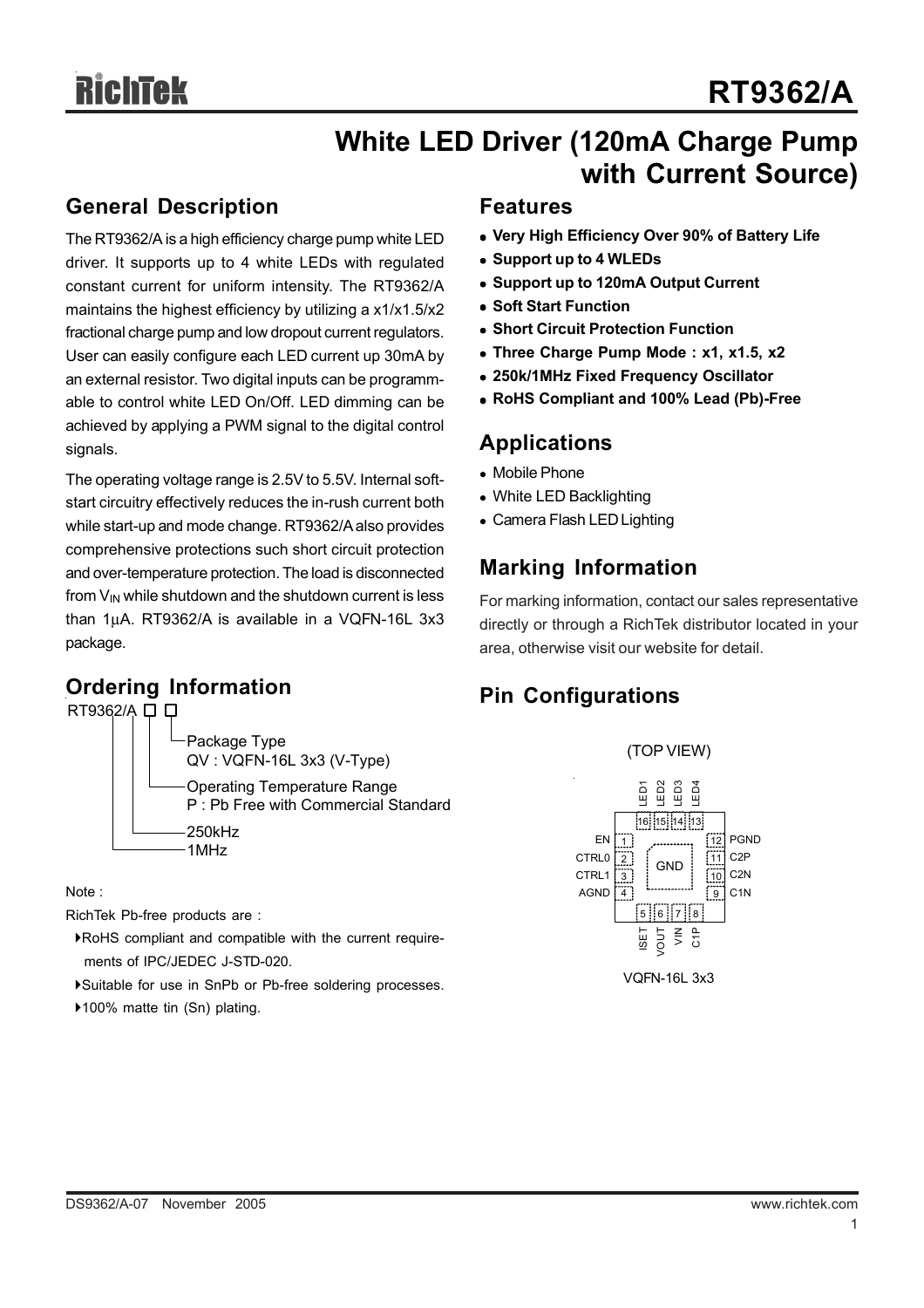## **White LED Driver (120mA Charge Pump with Current Source)**

## **General Description**

The RT9362/A is a high efficiency charge pump white LED driver. It supports up to 4 white LEDs with regulated constant current for uniform intensity. The RT9362/A maintains the highest efficiency by utilizing a x1/x1.5/x2 fractional charge pump and low dropout current regulators. User can easily configure each LED current up 30mA by an external resistor. Two digital inputs can be programmable to control white LED On/Off. LED dimming can be achieved by applying a PWM signal to the digital control signals.

The operating voltage range is 2.5V to 5.5V. Internal softstart circuitry effectively reduces the in-rush current both while start-up and mode change. RT9362/A also provides comprehensive protections such short circuit protection and over-temperature protection. The load is disconnected from  $V_{\text{IN}}$  while shutdown and the shutdown current is less than 1μA. RT9362/A is available in a VQFN-16L 3x3 package.

## **Ordering Information**



Note :

RichTek Pb-free products are :

- `RoHS compliant and compatible with the current require ments of IPC/JEDEC J-STD-020.
- `Suitable for use in SnPb or Pb-free soldering processes.
- ▶100% matte tin (Sn) plating.

## **Features**

- Very High Efficiency Over 90% of Battery Life
- $\bullet$  **Support up to 4 WLEDs**
- **Support up to 120mA Output Current**
- **Soft Start Function**
- **Short Circuit Protection Function**
- Three Charge Pump Mode : x1, x1.5, x2
- <sup>z</sup> **250k/1MHz Fixed Frequency Oscillator**
- <sup>z</sup> **RoHS Compliant and 100% Lead (Pb)-Free**

## **Applications**

- Mobile Phone
- White LED Backlighting
- Camera Flash LED Lighting

## **Marking Information**

For marking information, contact our sales representative directly or through a RichTek distributor located in your area, otherwise visit our website for detail.

## **Pin Configurations**

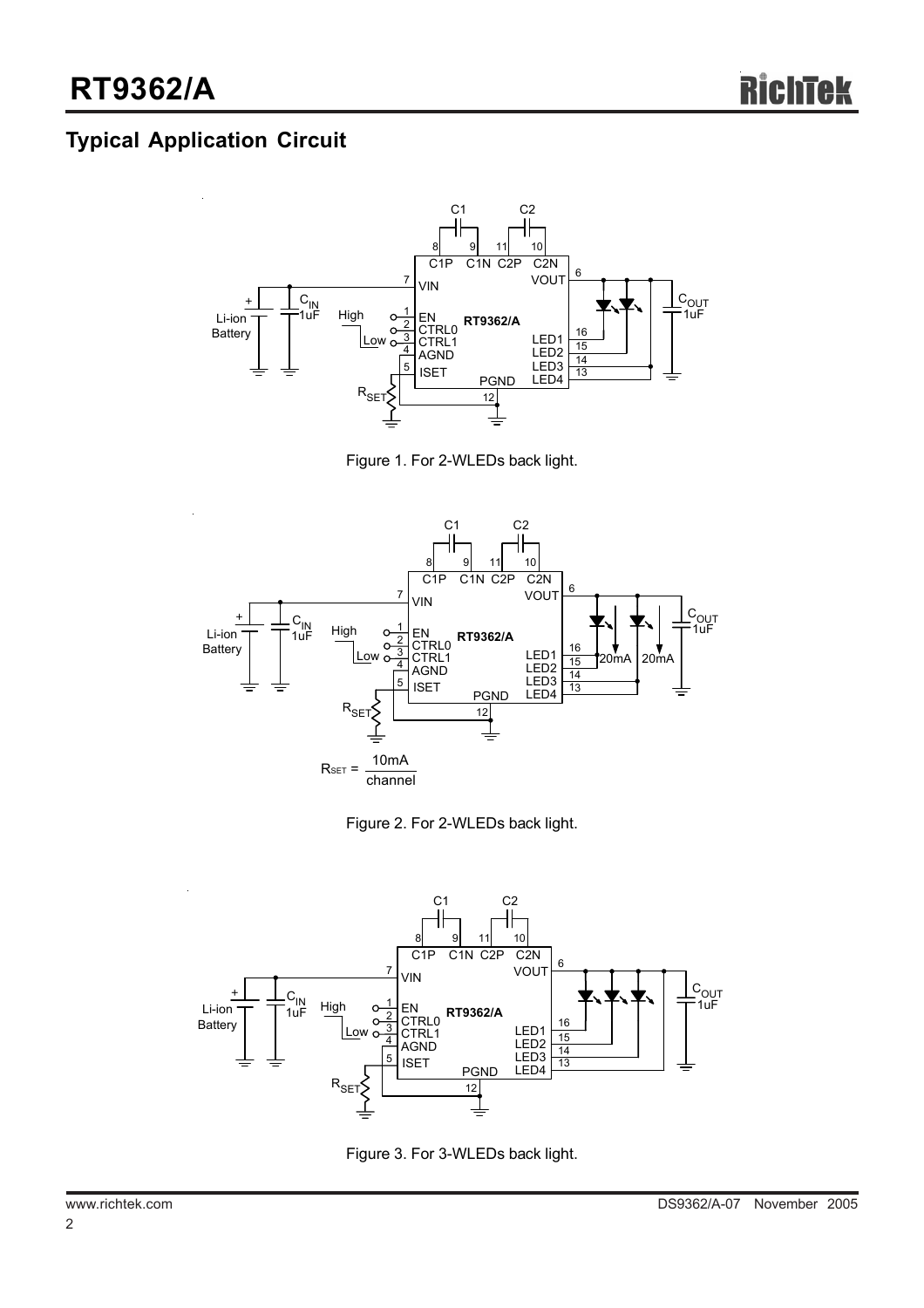## **Typical Application Circuit**



Figure 1. For 2-WLEDs back light.







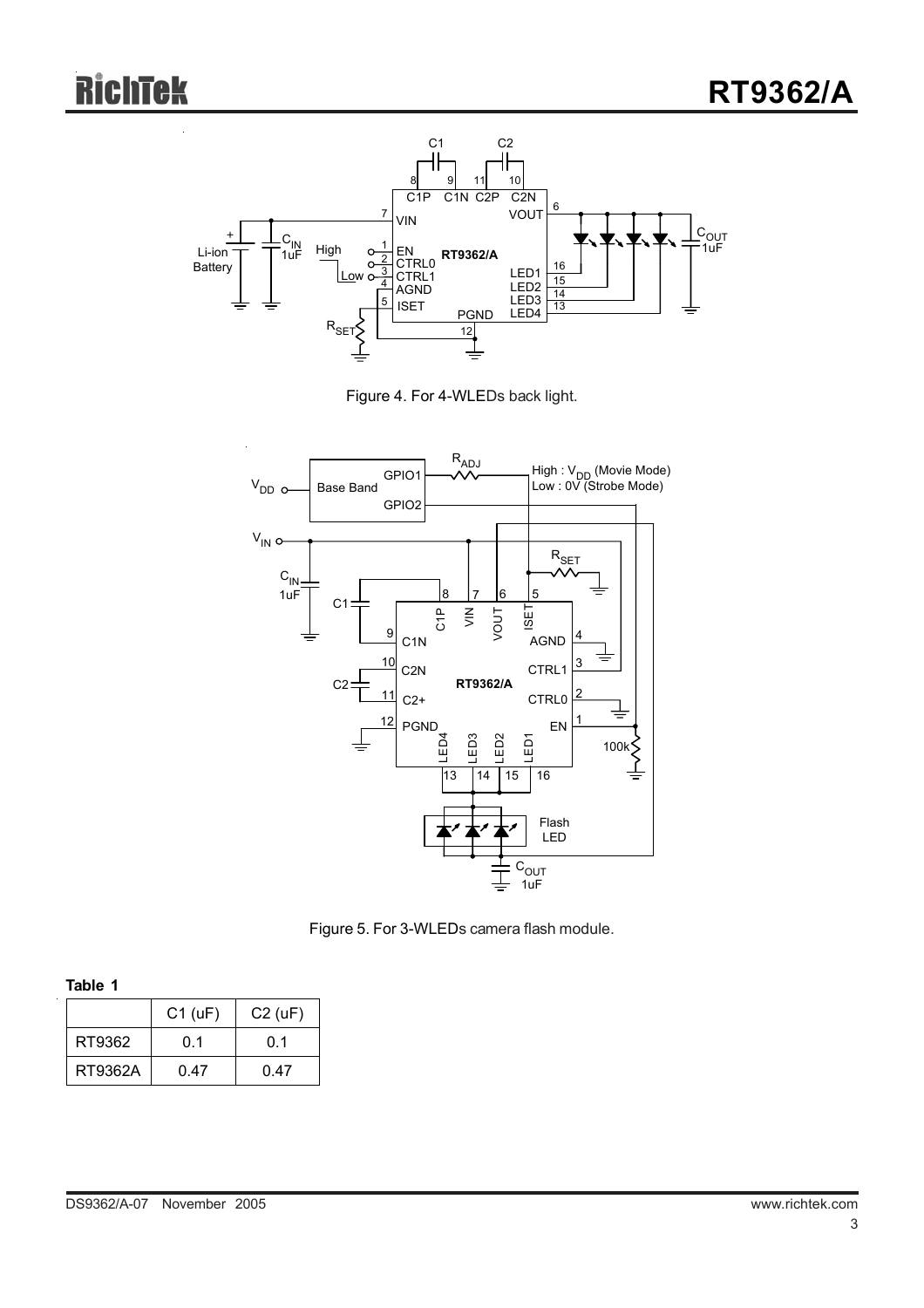





Figure 5. For 3-WLEDs camera flash module.

| I<br>٠ |  |
|--------|--|

|         | $C1$ (uF) | $C2$ (uF) |
|---------|-----------|-----------|
| RT9362  | 0.1       | ი 1       |
| RT9362A | 0.47      | 0.47      |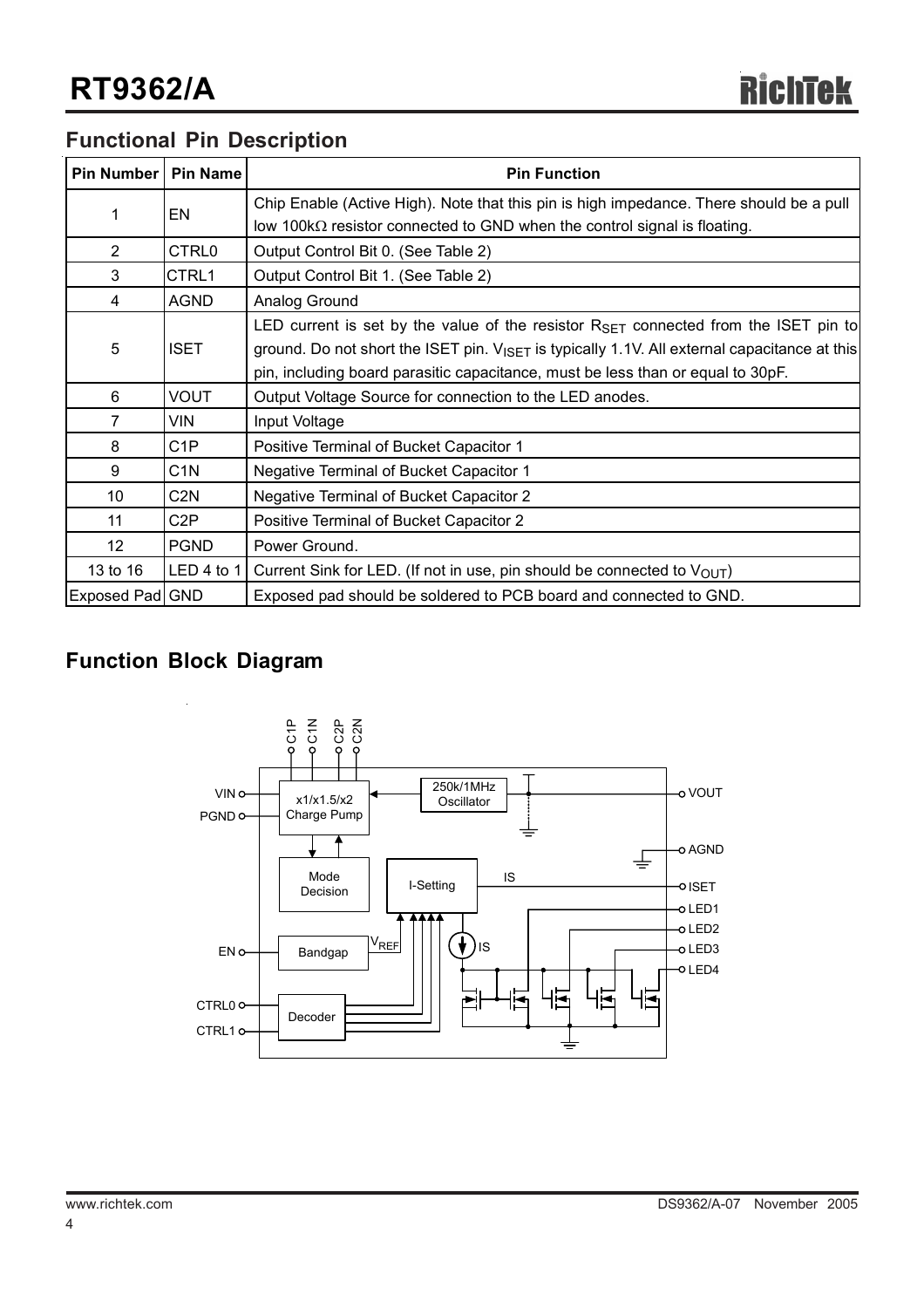## **Functional Pin Description**

| Pin Number      | Pin Name         | <b>Pin Function</b>                                                                                      |
|-----------------|------------------|----------------------------------------------------------------------------------------------------------|
| 1               | EN               | Chip Enable (Active High). Note that this pin is high impedance. There should be a pull                  |
|                 |                  | low 100 $k\Omega$ resistor connected to GND when the control signal is floating.                         |
| $\overline{2}$  | CTRL0            | Output Control Bit 0. (See Table 2)                                                                      |
| 3               | CTRL1            | Output Control Bit 1. (See Table 2)                                                                      |
| 4               | <b>AGND</b>      | Analog Ground                                                                                            |
|                 |                  | LED current is set by the value of the resistor $R_{\text{SET}}$ connected from the ISET pin to          |
| 5               | <b>ISET</b>      | ground. Do not short the ISET pin. $V_{\text{ISET}}$ is typically 1.1V. All external capacitance at this |
|                 |                  | pin, including board parasitic capacitance, must be less than or equal to 30pF.                          |
| 6               | <b>VOUT</b>      | Output Voltage Source for connection to the LED anodes.                                                  |
| $\overline{7}$  | <b>VIN</b>       | Input Voltage                                                                                            |
| 8               | C <sub>1</sub> P | Positive Terminal of Bucket Capacitor 1                                                                  |
| 9               | C <sub>1</sub> N | Negative Terminal of Bucket Capacitor 1                                                                  |
| 10 <sup>°</sup> | C <sub>2</sub> N | <b>Negative Terminal of Bucket Capacitor 2</b>                                                           |
| 11              | C <sub>2</sub> P | Positive Terminal of Bucket Capacitor 2                                                                  |
| 12 <sup>2</sup> | <b>PGND</b>      | Power Ground.                                                                                            |
| 13 to 16        | LED 4 to 1       | Current Sink for LED. (If not in use, pin should be connected to $V_{\text{OUT}}$ )                      |
| Exposed Pad GND |                  | Exposed pad should be soldered to PCB board and connected to GND.                                        |

## **Function Block Diagram**

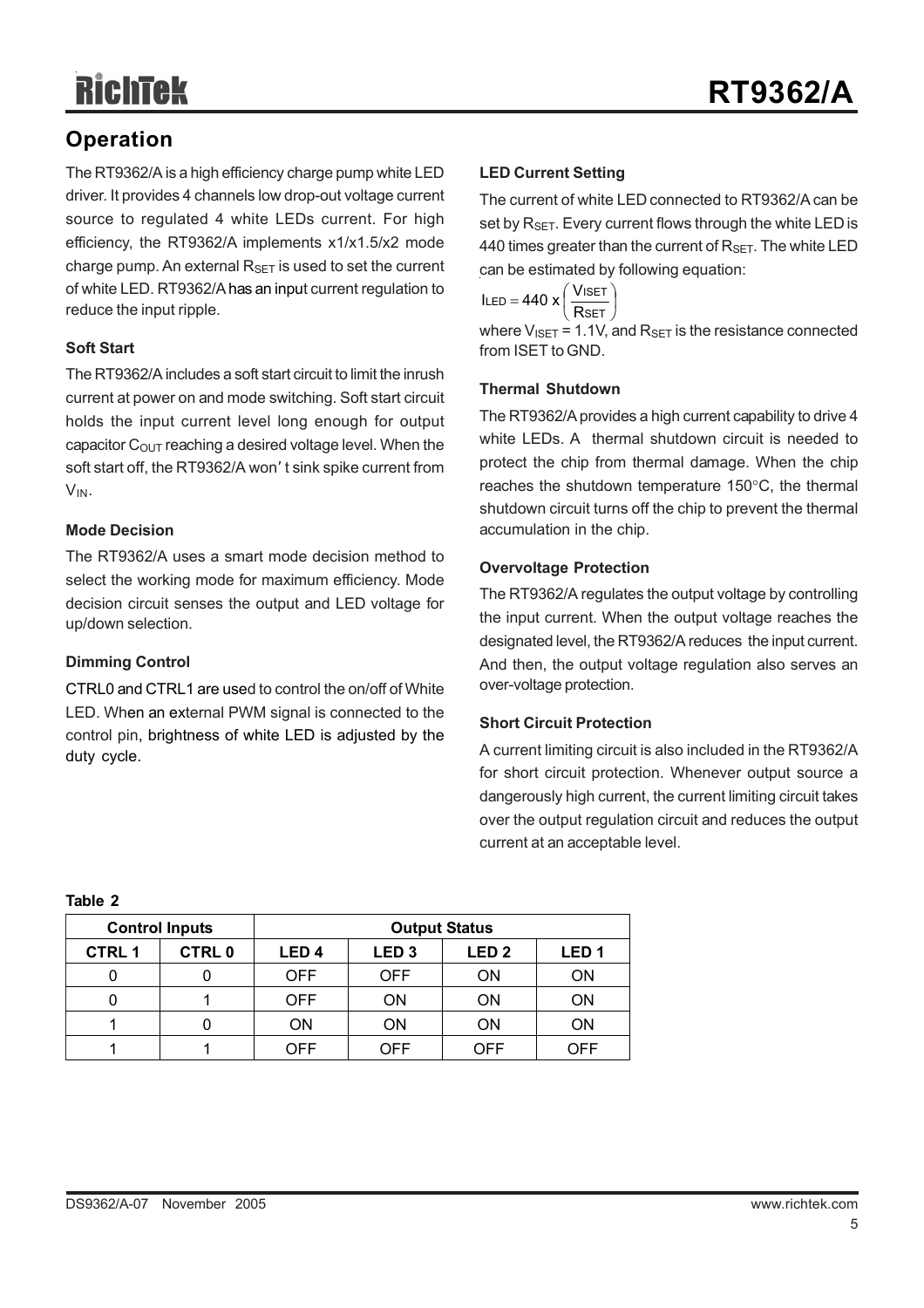## **Operation**

The RT9362/A is a high efficiency charge pump white LED driver. It provides 4 channels low drop-out voltage current source to regulated 4 white LEDs current. For high efficiency, the RT9362/A implements x1/x1.5/x2 mode charge pump. An external  $R_{\text{SFT}}$  is used to set the current of white LED. RT9362/A has an input current regulation to reduce the input ripple.

### **Soft Start**

The RT9362/A includes a soft start circuit to limit the inrush current at power on and mode switching. Soft start circuit holds the input current level long enough for output capacitor  $C_{\text{OUT}}$  reaching a desired voltage level. When the soft start off, the RT9362/A won' t sink spike current from VIN.

### **Mode Decision**

The RT9362/A uses a smart mode decision method to select the working mode for maximum efficiency. Mode decision circuit senses the output and LED voltage for up/down selection.

## **Dimming Control**

CTRL0 and CTRL1 are used to control the on/off of White LED. When an external PWM signal is connected to the control pin, brightness of white LED is adjusted by the duty cycle.

## **LED Current Setting**

The current of white LED connected to RT9362/A can be set by  $R_{\text{SET}}$ . Every current flows through the white LED is 440 times greater than the current of  $R_{\text{SET}}$ . The white LED can be estimated by following equation:

 $\overline{1}$  $\left(\frac{\text{VisET}}{\text{S}}\right)$  $\text{ILED} = 440 \times \left( \frac{\text{V}}{\text{P}} \right)$ 

where  $V_{ISET}$  = 1.1V, and  $R_{SET}$  is the resistance connected from ISET to GND.  $\backslash$  Rset  $\backslash$ R<sub>SET</sub>

### **Thermal Shutdown**

The RT9362/A provides a high current capability to drive 4 white LEDs. A thermal shutdown circuit is needed to protect the chip from thermal damage. When the chip reaches the shutdown temperature 150°C, the thermal shutdown circuit turns off the chip to prevent the thermal accumulation in the chip.

#### **Overvoltage Protection**

The RT9362/A regulates the output voltage by controlling the input current. When the output voltage reaches the designated level, the RT9362/A reduces the input current. And then, the output voltage regulation also serves an over-voltage protection.

#### **Short Circuit Protection**

A current limiting circuit is also included in the RT9362/A for short circuit protection. Whenever output source a dangerously high current, the current limiting circuit takes over the output regulation circuit and reduces the output current at an acceptable level.

|              | <b>Control Inputs</b> | <b>Output Status</b>                                                         |            |     |     |  |
|--------------|-----------------------|------------------------------------------------------------------------------|------------|-----|-----|--|
| <b>CTRL1</b> | <b>CTRL0</b>          | LED <sub>2</sub><br>LED <sub>1</sub><br>LED <sub>4</sub><br>LED <sub>3</sub> |            |     |     |  |
|              |                       | <b>OFF</b>                                                                   | <b>OFF</b> | ΟN  | ΟN  |  |
|              |                       | <b>OFF</b>                                                                   | ΟN         | ΟN  | ΟN  |  |
|              |                       | ON                                                                           | ΟN         | ON  | ΟN  |  |
|              |                       | OFF                                                                          | OFF        | OFF | OFF |  |

#### **Table 2**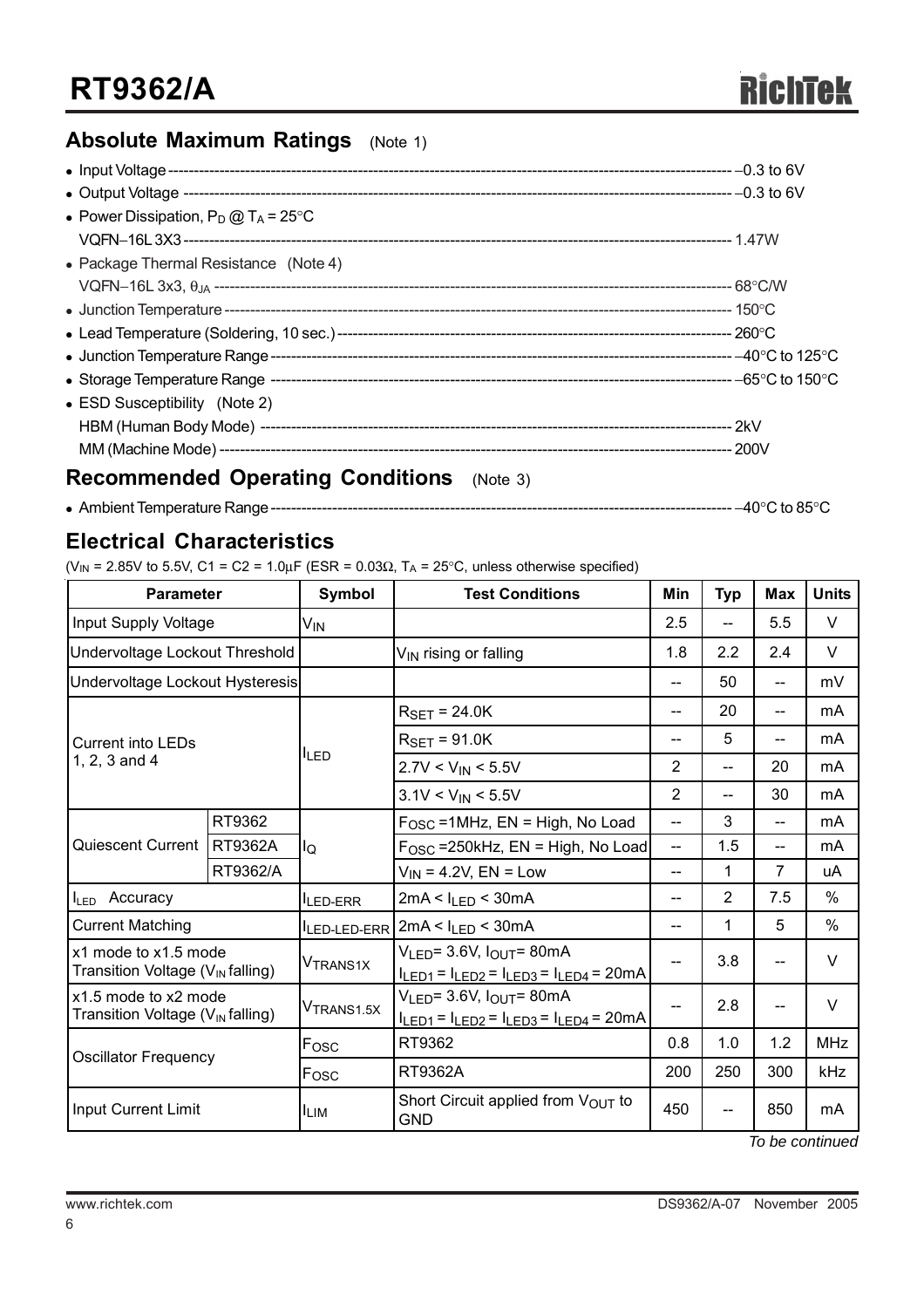## **Absolute Maximum Ratings** (Note 1)

| • Power Dissipation, $P_D @ T_A = 25^{\circ}C$ |  |
|------------------------------------------------|--|
|                                                |  |
| • Package Thermal Resistance (Note 4)          |  |
|                                                |  |
|                                                |  |
|                                                |  |
|                                                |  |
|                                                |  |
| • ESD Susceptibility (Note 2)                  |  |
|                                                |  |
|                                                |  |

## **Recommended Operating Conditions** (Note 3)

<sup>z</sup> Ambient Temperature Range------------------------------------------------------------------------------------------ −40°C to 85°C

## **Electrical Characteristics**

(V<sub>IN</sub> = 2.85V to 5.5V, C1 = C2 = 1.0 $\mu$ F (ESR = 0.03 $\Omega$ , T<sub>A</sub> = 25°C, unless otherwise specified)

| <b>Parameter</b>                                                     |                             | Symbol                 | <b>Test Conditions</b>                                                                   | Min            | <b>Typ</b>     | <b>Max</b>     | <b>Units</b> |
|----------------------------------------------------------------------|-----------------------------|------------------------|------------------------------------------------------------------------------------------|----------------|----------------|----------------|--------------|
| Input Supply Voltage                                                 |                             | V <sub>IN</sub>        |                                                                                          | 2.5            | --             | 5.5            | V            |
| Undervoltage Lockout Threshold                                       |                             |                        | V <sub>IN</sub> rising or falling                                                        | 1.8            | 2.2            | 2.4            | V            |
| Undervoltage Lockout Hysteresis                                      |                             |                        |                                                                                          | --             | 50             | $-$            | mV           |
|                                                                      |                             |                        | $R_{\text{SET}} = 24.0$ K                                                                | $-$            | 20             | $-$            | mA           |
| Current into LEDs                                                    |                             |                        | $R_{\text{SET}} = 91.0$ K                                                                | --             | 5              | --             | mA           |
| 1, 2, 3 and 4                                                        |                             | <sup>I</sup> LED       | $2.7V < V_{IN} < 5.5V$                                                                   | $\overline{2}$ | $\overline{a}$ | 20             | mA           |
|                                                                      |                             |                        | $3.1V < V_{IN} < 5.5V$                                                                   | $\overline{2}$ | --             | 30             | mA           |
|                                                                      | RT9362                      |                        | $FOSC = 1MHz$ , $EN = High$ , No Load                                                    | $-$            | 3              | $\overline{a}$ | mA           |
| Quiescent Current                                                    | <b>RT9362A</b>              | llo                    | $FOSC$ =250kHz, EN = High, No Load                                                       |                | 1.5            | --             | mA           |
|                                                                      | RT9362/A                    |                        | $V_{IN}$ = 4.2V, EN = Low                                                                | --             | 1              | 7              | uA           |
| I <sub>LED</sub> Accuracy                                            |                             | <b>LED-ERR</b>         | $2mA < I_{LED} < 30mA$                                                                   | --             | 2              | 7.5            | $\%$         |
| <b>Current Matching</b>                                              |                             |                        | $I_{LED-LED-ERR}$ 2mA < $I_{LED}$ < 30mA                                                 |                | 1              | 5              | $\%$         |
| x1 mode to x1.5 mode<br>Transition Voltage (V <sub>IN</sub> falling) |                             | <b>VTRANS1X</b>        | $V_{LED} = 3.6V, IOUT = 80mA$<br>$I_{LED1} = I_{LED2} = I_{LED3} = I_{LED4} = 20mA$      | --             | 3.8            | --             | V            |
| x1.5 mode to x2 mode<br>Transition Voltage (V <sub>IN</sub> falling) |                             | V <sub>TRANS1.5X</sub> | $V_{LED}$ = 3.6V, $I_{OUT}$ = 80mA<br>$I_{LED1} = I_{LED2} = I_{LED3} = I_{LED4} = 20mA$ | --             | 2.8            | --             | V            |
|                                                                      |                             | Fosc                   | RT9362                                                                                   | 0.8            | 1.0            | 1.2            | <b>MHz</b>   |
|                                                                      | <b>Oscillator Frequency</b> |                        | RT9362A                                                                                  | 200            | 250            | 300            | kHz          |
| Input Current Limit                                                  |                             | ILIM.                  | Short Circuit applied from $V_{\text{OUT}}$ to<br><b>GND</b>                             | 450            | --             | 850            | mA           |

*To be continued*

6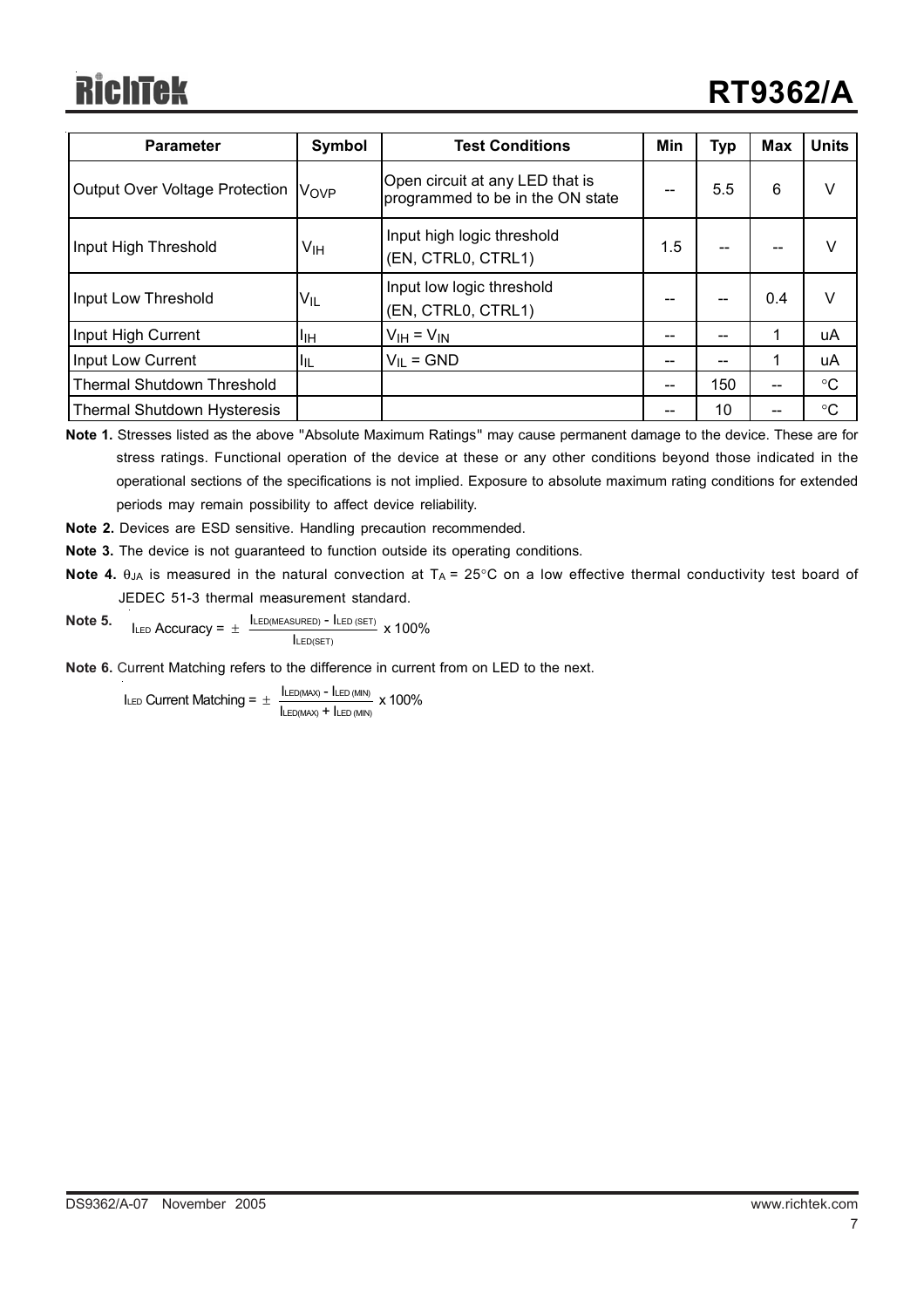# RichTek

| <b>Parameter</b>                      | Symbol | <b>Test Conditions</b>                                              | Min | <b>Typ</b> | <b>Max</b> | <b>Units</b>    |
|---------------------------------------|--------|---------------------------------------------------------------------|-----|------------|------------|-----------------|
| <b>Output Over Voltage Protection</b> | Vove   | Open circuit at any LED that is<br>programmed to be in the ON state |     | 5.5        | 6          | V               |
| Input High Threshold                  | Vıн    | Input high logic threshold<br>(EN, CTRL0, CTRL1)                    | 1.5 |            |            | V               |
| Input Low Threshold                   | VIL    | Input low logic threshold<br>(EN, CTRL0, CTRL1)                     |     |            | 0.4        | v               |
| Input High Current                    | IJН    | $V_{IH} = V_{IN}$                                                   |     |            |            | uA              |
| Input Low Current                     | ЧĿ     | $V_{IL} = GND$                                                      |     | --         |            | uA              |
| <b>Thermal Shutdown Threshold</b>     |        |                                                                     | --  | 150        | --         | $\rm ^{\circ}C$ |
| <b>Thermal Shutdown Hysteresis</b>    |        |                                                                     |     | 10         |            | $\rm ^{\circ}C$ |

**Note 1.** Stresses listed as the above "Absolute Maximum Ratings" may cause permanent damage to the device. These are for stress ratings. Functional operation of the device at these or any other conditions beyond those indicated in the operational sections of the specifications is not implied. Exposure to absolute maximum rating conditions for extended periods may remain possibility to affect device reliability.

- **Note 2.** Devices are ESD sensitive. Handling precaution recommended.
- **Note 3.** The device is not guaranteed to function outside its operating conditions.
- **Note 4.**  $\theta_{JA}$  is measured in the natural convection at  $T_A = 25^{\circ}$ C on a low effective thermal conductivity test board of JEDEC 51-3 thermal measurement standard.
- **Note 5.** ILED Accuracy =  $\pm$   $\frac{\text{ILED}(\text{MEASURED}) - \text{ILED}(\text{SET})}{\text{ILED}(\text{SET})}$  x 100%

**Note 6.** Current Matching refers to the difference in current from on LED to the next.

 $I_{LED}$  Current Matching =  $\pm \frac{I_{LED(MAX)} - I_{LED(MIN)}}{I_{LED(MAX)} + I_{LED(MIN)}}$  x 100%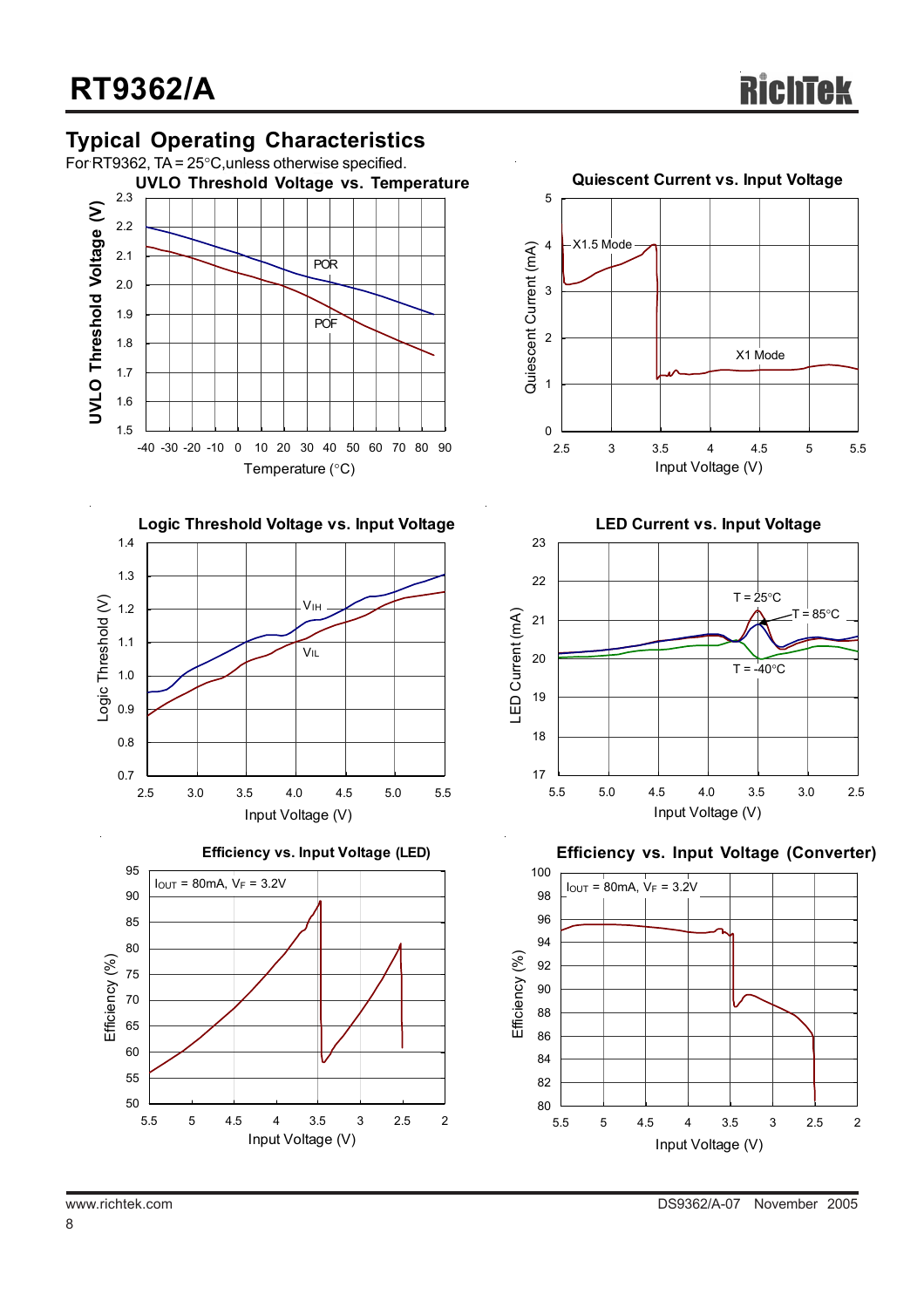## **Typical Operating Characteristics**











**LED Current vs. Input Voltage**



**(LED) Efficiency vs. Input Voltage Efficiency vs. Input Voltage (Converter)**

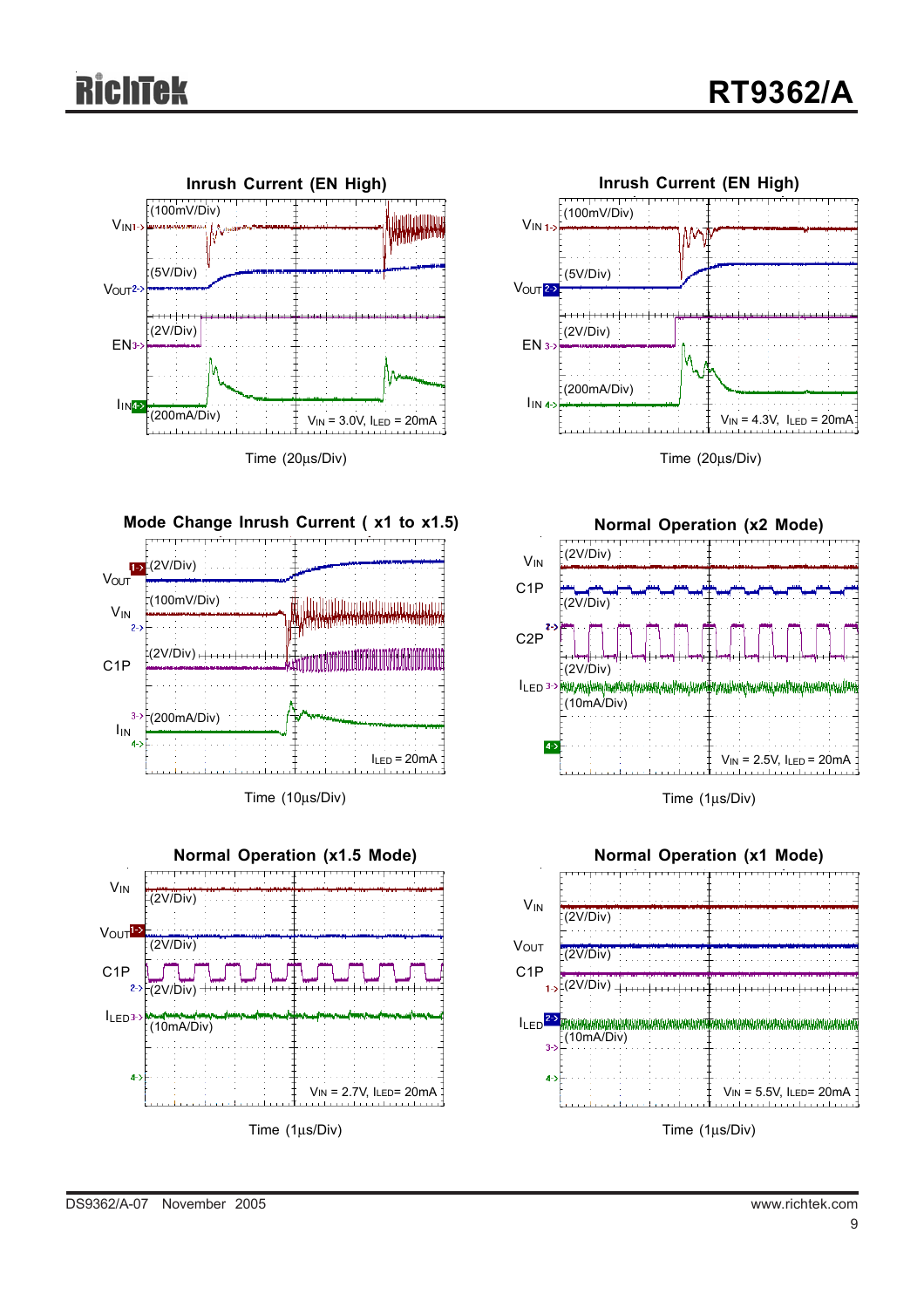



Time (20μs/Div)







**Mode Change Inrush Current ( x1 to x1.5)** (2V/Div)  $V_{\text{OUT}}$ (100mV/Div) illullahliline tuttimmin area VIN  $\overline{2}$  $(2V/Div)$  +++++ C1P  $3 (200$ mA/Div) IIN  $I_{LED} = 20mA$ 

Time (10μs/Div)

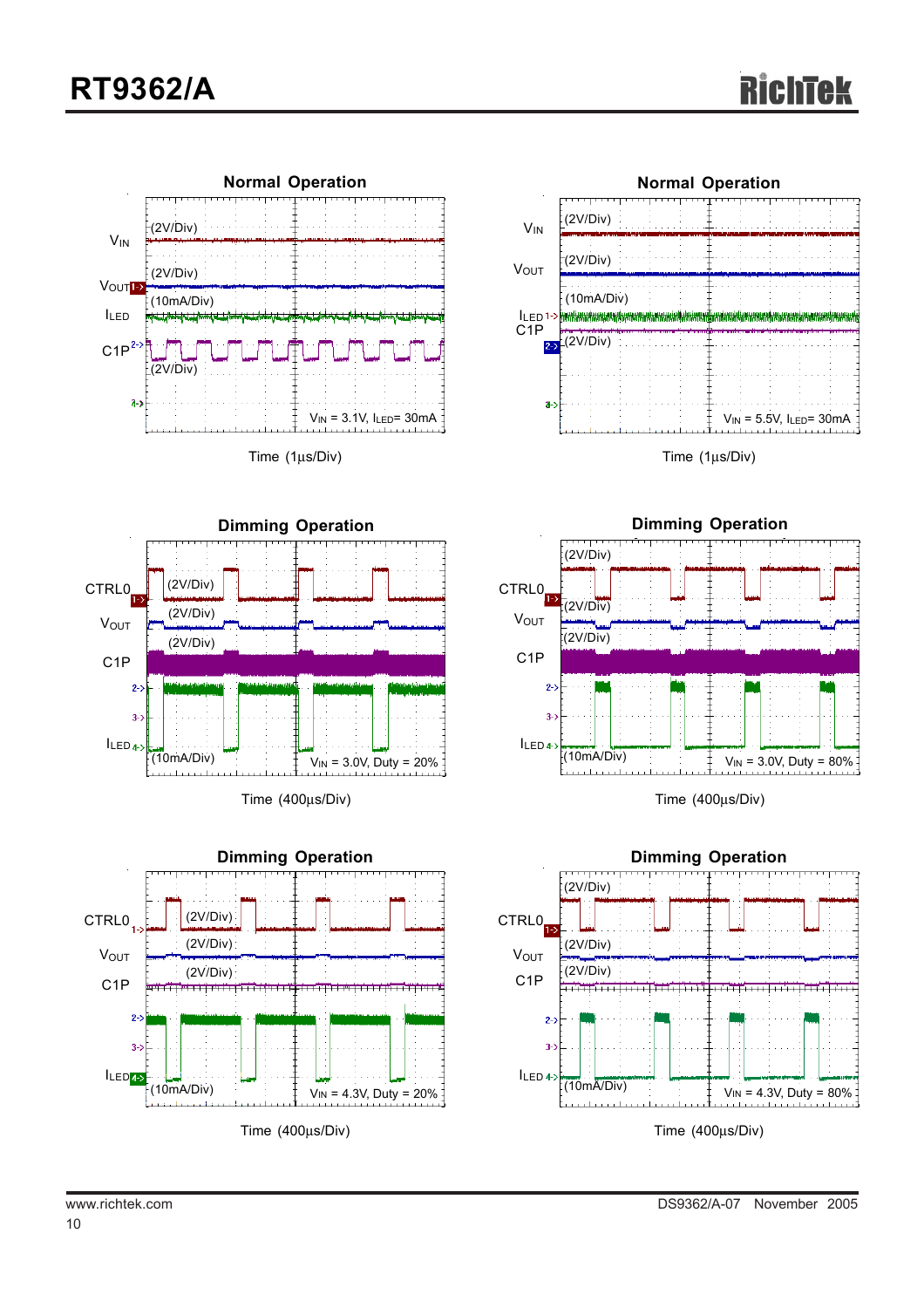



Time (1μs/Div)









www.richtek.com DS9362/A-07 November 2005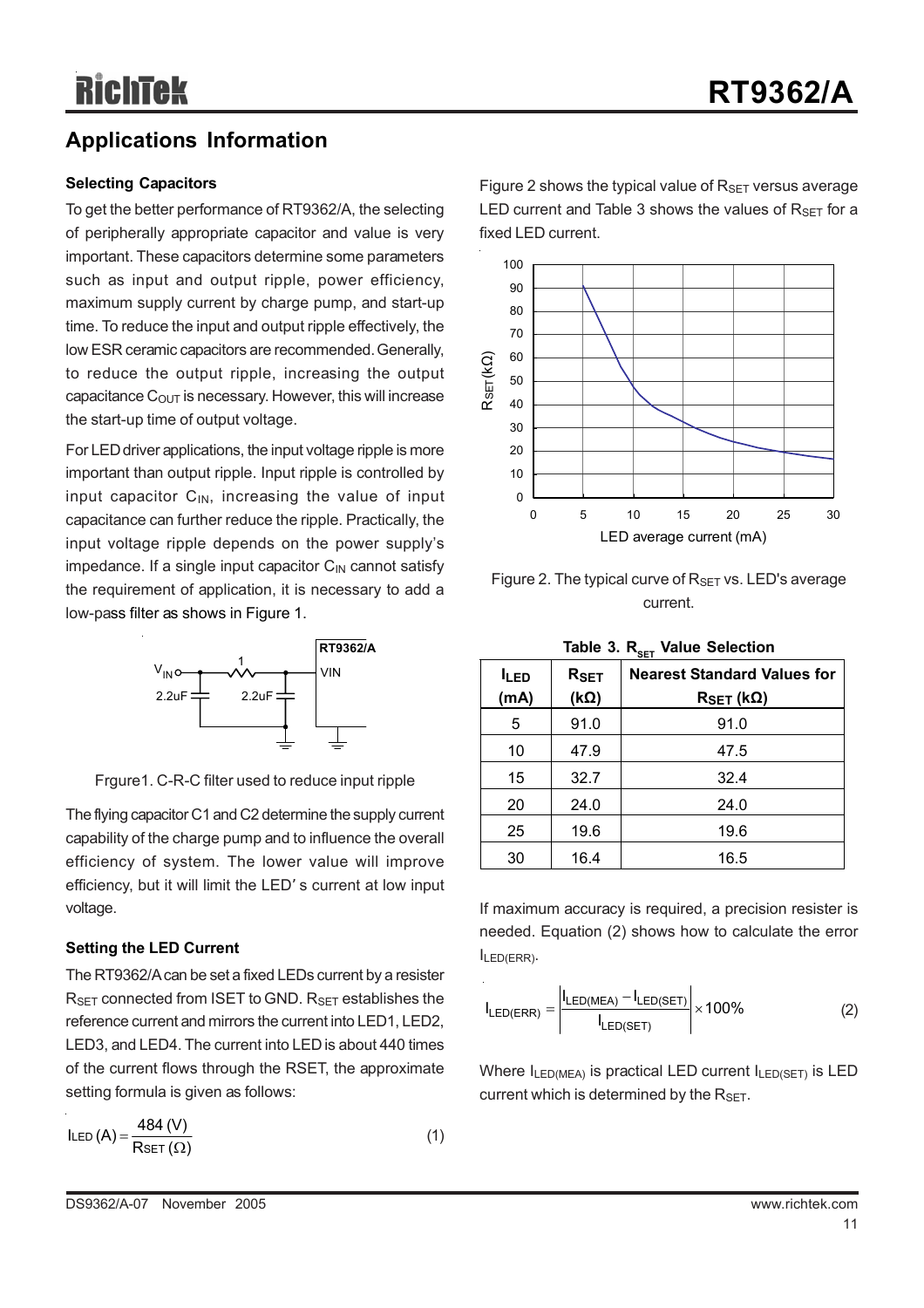## **Applications Information**

#### **Selecting Capacitors**

To get the better performance of RT9362/A, the selecting of peripherally appropriate capacitor and value is very important. These capacitors determine some parameters such as input and output ripple, power efficiency, maximum supply current by charge pump, and start-up time. To reduce the input and output ripple effectively, the low ESR ceramic capacitors are recommended. Generally, to reduce the output ripple, increasing the output capacitance  $C_{\text{OUT}}$  is necessary. However, this will increase the start-up time of output voltage.

For LED driver applications, the input voltage ripple is more important than output ripple. Input ripple is controlled by input capacitor  $C_{\text{IN}}$ , increasing the value of input capacitance can further reduce the ripple. Practically, the input voltage ripple depends on the power supply's impedance. If a single input capacitor  $C_{\text{IN}}$  cannot satisfy the requirement of application, it is necessary to add a low-pass filter as shows in Figure 1.



Frgure1. C-R-C filter used to reduce input ripple

The flying capacitor C1 and C2 determine the supply current capability of the charge pump and to influence the overall efficiency of system. The lower value will improve efficiency, but it will limit the LED' s current at low input voltage.

#### **Setting the LED Current**

The RT9362/A can be set a fixed LEDs current by a resister RSET connected from ISET to GND. RSET establishes the reference current and mirrors the current into LED1, LED2, LED3, and LED4. The current into LED is about 440 times of the current flows through the RSET, the approximate setting formula is given as follows:

$$
ILED (A) = \frac{484 (V)}{RSET (\Omega)}
$$
 (1)

Figure 2 shows the typical value of  $R_{\text{SET}}$  versus average LED current and Table 3 shows the values of  $R_{\text{SET}}$  for a fixed LED current.



Figure 2. The typical curve of  $R_{\text{SET}}$  vs. LED's average current.

| Table 3. R <sub>ser</sub> Value Selection |  |  |
|-------------------------------------------|--|--|
|-------------------------------------------|--|--|

| <b>ILED</b><br>(mA) | $R_{SET}$<br>$(k\Omega)$ | <b>Nearest Standard Values for</b><br>$R_{SET}$ (kΩ) |
|---------------------|--------------------------|------------------------------------------------------|
| 5                   | 91.0                     | 91.0                                                 |
| 10                  | 47.9                     | 47.5                                                 |
| 15                  | 32.7                     | 32.4                                                 |
| 20                  | 24.0                     | 24.0                                                 |
| 25                  | 19.6                     | 19.6                                                 |
| 30                  | 16.4                     | 16.5                                                 |

If maximum accuracy is required, a precision resister is needed. Equation (2) shows how to calculate the error ILED(ERR).

$$
I_{LED(ERR)} = \left| \frac{I_{LED(MEA)} - I_{LED(SET)}}{I_{LED(SET)}} \right| \times 100\%
$$
 (2)

Where  $I_{LED(MEA)}$  is practical LED current  $I_{LED(SET)}$  is LED current which is determined by the  $R_{\text{SET}}$ .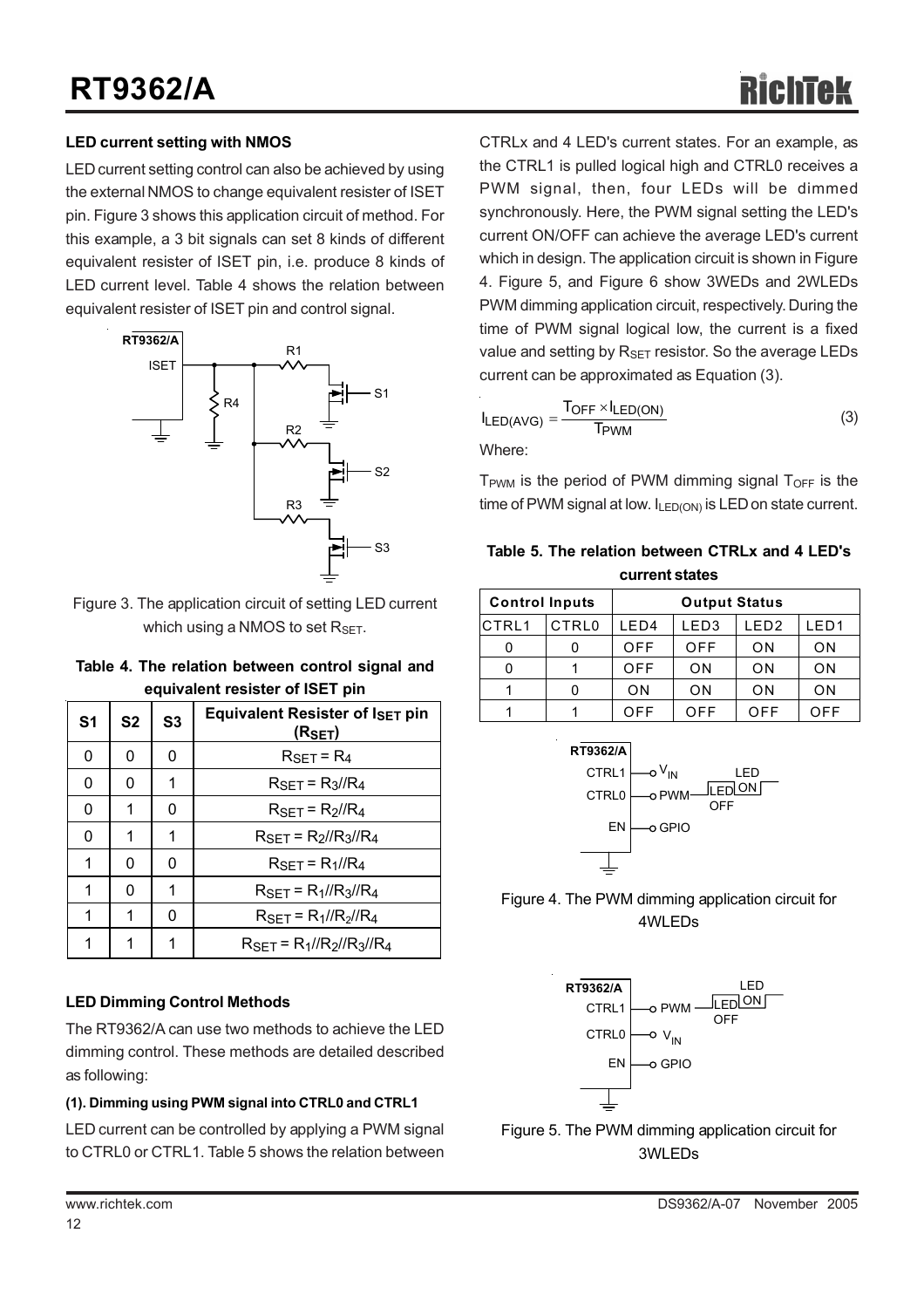#### **LED current setting with NMOS**

LED current setting control can also be achieved by using the external NMOS to change equivalent resister of ISET pin. Figure 3 shows this application circuit of method. For this example, a 3 bit signals can set 8 kinds of different equivalent resister of ISET pin, i.e. produce 8 kinds of LED current level. Table 4 shows the relation between equivalent resister of ISET pin and control signal.



Figure 3. The application circuit of setting LED current which using a NMOS to set  $R_{\text{SFT}}$ .

|  | Table 4. The relation between control signal and |  |  |
|--|--------------------------------------------------|--|--|
|  | equivalent resister of ISET pin                  |  |  |

| S <sub>1</sub> | S <sub>2</sub> | S <sub>3</sub> | Equivalent Resister of ISET pin<br>(R <sub>SET</sub> ) |  |  |
|----------------|----------------|----------------|--------------------------------------------------------|--|--|
| 0              | 0              | 0              | $R_{SET} = R_4$                                        |  |  |
| 0              | 0              | 1              | $R_{\rm SET}$ = $R_3$ // $R_4$                         |  |  |
| 0              | 1              | 0              | $R_{\rm SFT}$ = $R_2$ // $R_4$                         |  |  |
| 0              | 1              | 1              | $R_{\rm SET} = R_2 / R_3 / R_4$                        |  |  |
| 1              | 0              | 0              | $R_{\rm SET} = R_1 / R_4$                              |  |  |
| 1              | 0              | 1              | $R_{SFT} = R_1 / R_3 / R_4$                            |  |  |
| 1              | 1              | O              | $R_{\rm SET}$ = $R_1$ // $R_2$ // $R_4$                |  |  |
| 1              | 1              | 1              | $R_{\rm SFT}$ = $R_1$ // $R_2$ // $R_3$ // $R_4$       |  |  |

#### **LED Dimming Control Methods**

The RT9362/A can use two methods to achieve the LED dimming control. These methods are detailed described as following:

#### **(1). Dimming using PWM signal into CTRL0 and CTRL1**

LED current can be controlled by applying a PWM signal to CTRL0 or CTRL1. Table 5 shows the relation between CTRLx and 4 LED's current states. For an example, as the CTRL1 is pulled logical high and CTRL0 receives a PWM signal, then, four LEDs will be dimmed synchronously. Here, the PWM signal setting the LED's current ON/OFF can achieve the average LED's current which in design. The application circuit is shown in Figure 4. Figure 5, and Figure 6 show 3WEDs and 2WLEDs PWM dimming application circuit, respectively. During the time of PWM signal logical low, the current is a fixed value and setting by  $R_{\text{SFT}}$  resistor. So the average LEDs current can be approximated as Equation (3).

$$
I_{LED(AVG)} = \frac{T_{OFF} \times I_{LED(ON)}}{T_{PWM}}
$$
 (3)

 $T_{\text{PWM}}$  is the period of PWM dimming signal  $T_{\text{OFF}}$  is the time of PWM signal at low.  $I_{LED(ON)}$  is LED on state current.

**Table 5. The relation between CTRLx and 4 LED's current states**

| uun un uuuv           |                   |            |                      |                  |                  |  |  |
|-----------------------|-------------------|------------|----------------------|------------------|------------------|--|--|
| <b>Control Inputs</b> |                   |            | <b>Output Status</b> |                  |                  |  |  |
| <b>CTRL1</b>          | CTRL <sub>0</sub> | LED4       | LED <sub>3</sub>     | LED <sub>2</sub> | LED <sub>1</sub> |  |  |
| 0                     |                   | <b>OFF</b> | <b>OFF</b>           | ON               | ON               |  |  |
| 0                     |                   | <b>OFF</b> | 0 <sub>N</sub>       | ON               | ON               |  |  |
|                       |                   | ON         | 0 <sub>N</sub>       | ON               | ON               |  |  |
|                       |                   | OFF        | <b>OFF</b>           | OFF              | OFF              |  |  |



Figure 4. The PWM dimming application circuit for 4WLEDs



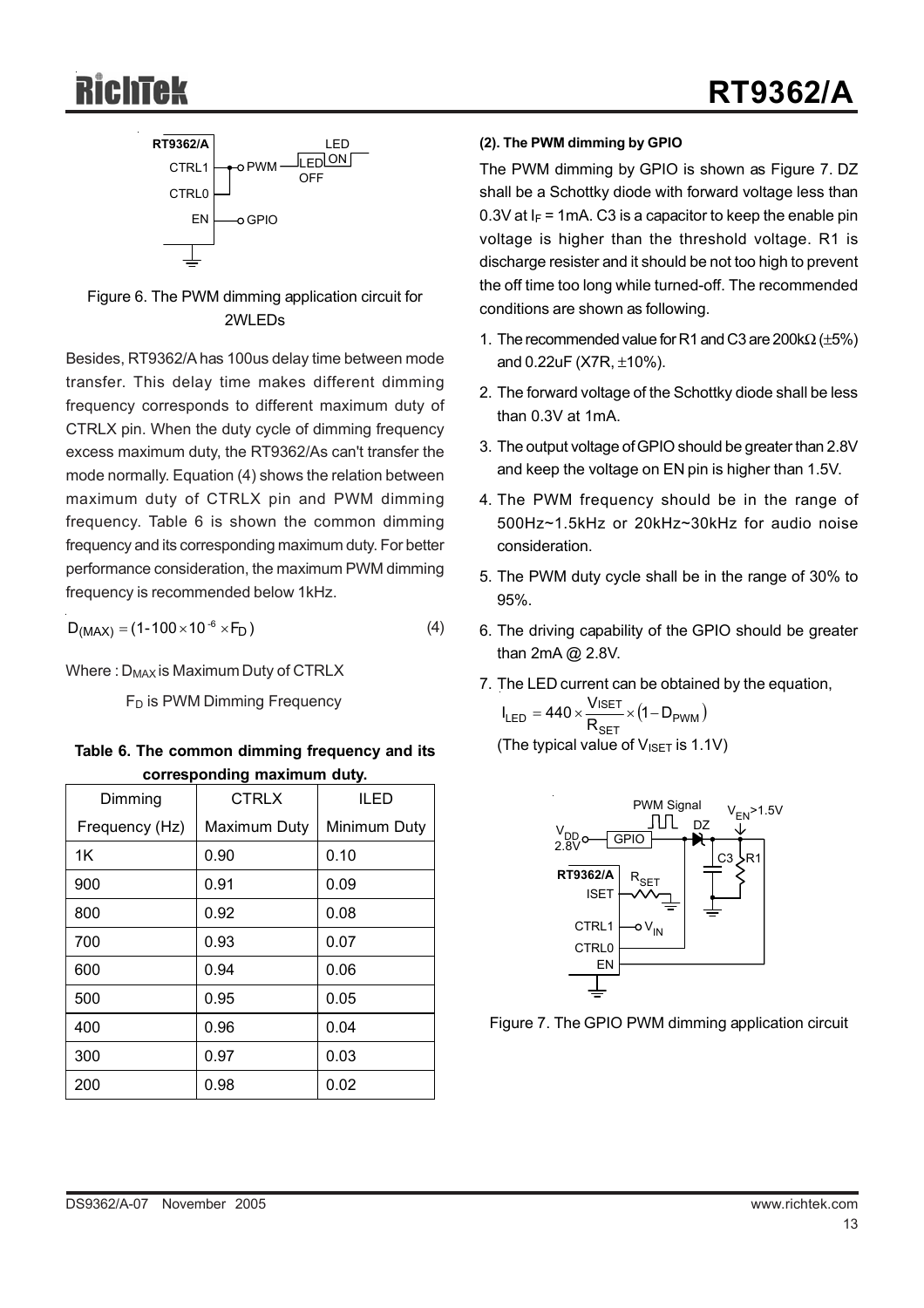

Figure 6. The PWM dimming application circuit for 2WLEDs

Besides, RT9362/A has 100us delay time between mode transfer. This delay time makes different dimming frequency corresponds to different maximum duty of CTRLX pin. When the duty cycle of dimming frequency excess maximum duty, the RT9362/As can't transfer the mode normally. Equation (4) shows the relation between maximum duty of CTRLX pin and PWM dimming frequency. Table 6 is shown the common dimming frequency and its corresponding maximum duty. For better performance consideration, the maximum PWM dimming frequency is recommended below 1kHz.

$$
D_{(MAX)} = (1 - 100 \times 10^{-6} \times F_D)
$$
 (4)

Where :  $D_{MAX}$  is Maximum Duty of CTRLX

F<sub>D</sub> is PWM Dimming Frequency

| Table 6. The common dimming frequency and its |  |
|-----------------------------------------------|--|
| corresponding maximum duty.                   |  |

| Dimming        | <b>CTRLX</b> | <b>ILED</b>  |  |
|----------------|--------------|--------------|--|
| Frequency (Hz) | Maximum Duty | Minimum Duty |  |
| 1K             | 0.90         | 0.10         |  |
| 900            | 0.91         | 0.09         |  |
| 800            | 0.92         | 0.08         |  |
| 700            | 0.93         | 0.07         |  |
| 600            | 0.94         | 0.06         |  |
| 500            | 0.95         | 0.05         |  |
| 400            | 0.96         | 0.04         |  |
| 300            | 0.97         | 0.03         |  |
| 200            | 0.98         | 0.02         |  |

#### **(2). The PWM dimming by GPIO**

The PWM dimming by GPIO is shown as Figure 7. DZ shall be a Schottky diode with forward voltage less than 0.3V at  $I_F$  = 1mA. C3 is a capacitor to keep the enable pin voltage is higher than the threshold voltage. R1 is discharge resister and it should be not too high to prevent the off time too long while turned-off. The recommended conditions are shown as following.

- 1. The recommended value for R1 and C3 are 200k $\Omega$  ( $\pm$ 5%) and 0.22uF (X7R, ±10%).
- 2. The forward voltage of the Schottky diode shall be less than 0.3V at 1mA.
- 3. The output voltage of GPIO should be greater than 2.8V and keep the voltage on EN pin is higher than 1.5V.
- 4. The PWM frequency should be in the range of 500Hz~1.5kHz or 20kHz~30kHz for audio noise consideration.
- 5. The PWM duty cycle shall be in the range of 30% to 95%.
- 6. The driving capability of the GPIO should be greater than 2mA @ 2.8V.
- 7. The LED current can be obtained by the equation,

$$
I_{LED} = 440 \times \frac{V_{ISET}}{R_{SET}} \times (1 - D_{PWM})
$$
  
(The typical value of V<sub>ISET</sub> is 1.1V)



Figure 7. The GPIO PWM dimming application circuit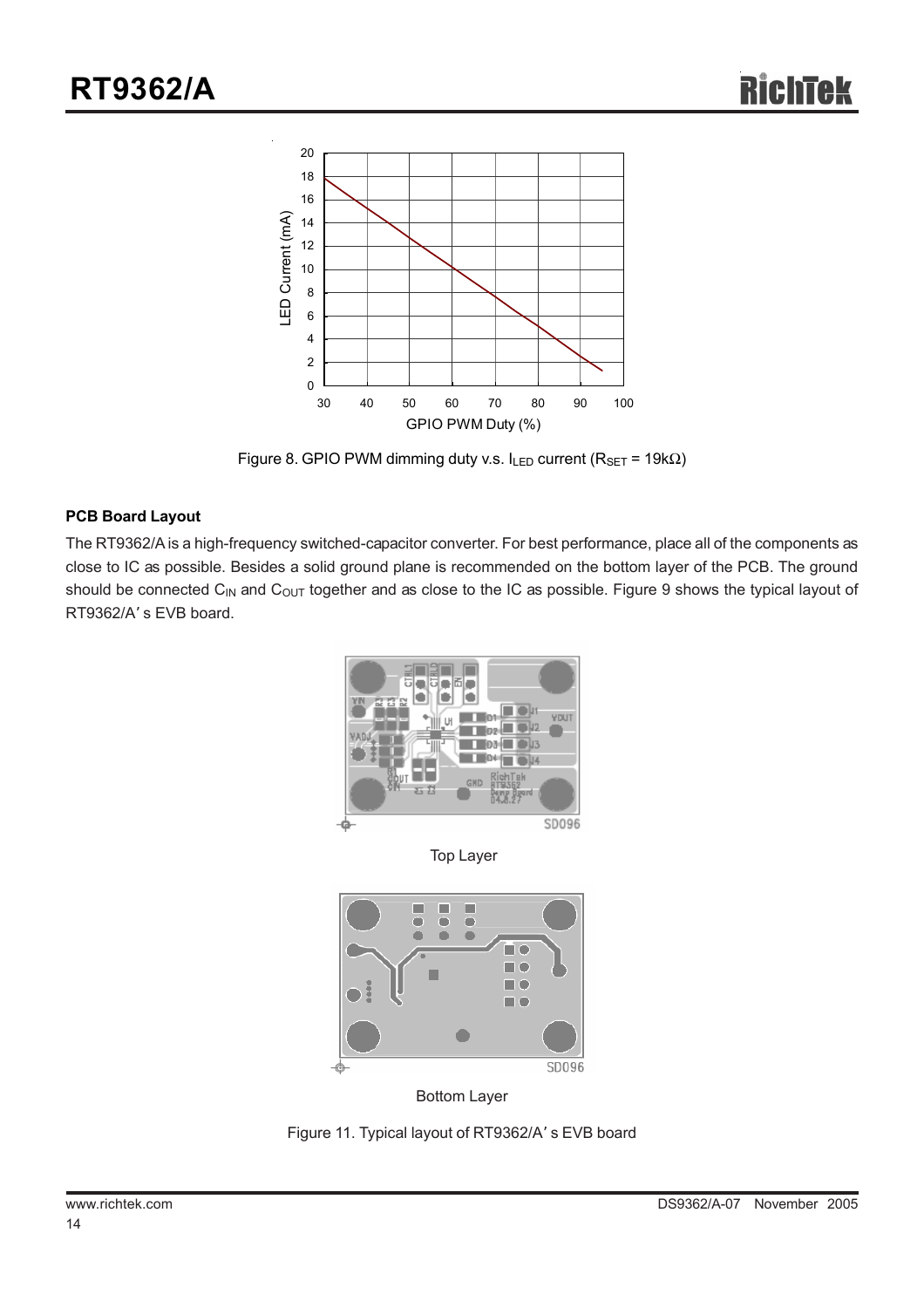

Figure 8. GPIO PWM dimming duty v.s.  $I_{LED}$  current ( $R_{SET}$  = 19k $\Omega$ )

#### **PCB Board Layout**

The RT9362/A is a high-frequency switched-capacitor converter. For best performance, place all of the components as close to IC as possible. Besides a solid ground plane is recommended on the bottom layer of the PCB. The ground should be connected C<sub>IN</sub> and C<sub>OUT</sub> together and as close to the IC as possible. Figure 9 shows the typical layout of RT9362/A' s EVB board.



Top Layer



Bottom Layer

Figure 11. Typical layout of RT9362/A' s EVB board